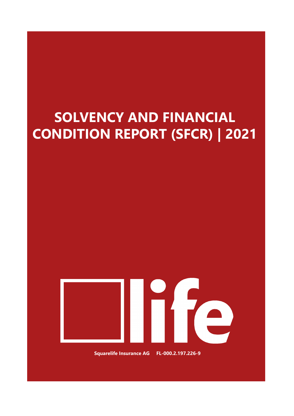# **SOLVENCY AND FINANCIAL CONDITION REPORT (SFCR) | 2021**



**Squarelife Insurance AG FL-000.2.197.226-9**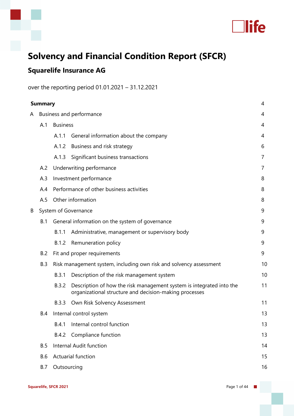



## **Solvency and Financial Condition Report (SFCR)**

### **Squarelife Insurance AG**

over the reporting period 01.01.2021 – 31.12.2021

|   | <b>Summary</b> |                          |                                                                                                                                |    |
|---|----------------|--------------------------|--------------------------------------------------------------------------------------------------------------------------------|----|
| A |                | Business and performance |                                                                                                                                |    |
|   | A.1            | <b>Business</b>          |                                                                                                                                | 4  |
|   |                | A.1.1                    | General information about the company                                                                                          | 4  |
|   |                | A.1.2                    | Business and risk strategy                                                                                                     | 6  |
|   |                | A.1.3                    | Significant business transactions                                                                                              | 7  |
|   | A.2            |                          | Underwriting performance                                                                                                       | 7  |
|   | A.3            |                          | Investment performance                                                                                                         | 8  |
|   | A.4            |                          | Performance of other business activities                                                                                       | 8  |
|   | A.5            |                          | Other information                                                                                                              | 8  |
| B |                |                          | System of Governance                                                                                                           | 9  |
|   | B.1            |                          | General information on the system of governance                                                                                | 9  |
|   |                | B.1.1                    | Administrative, management or supervisory body                                                                                 | 9  |
|   |                | B.1.2                    | Remuneration policy                                                                                                            | 9  |
|   | B.2            |                          | Fit and proper requirements                                                                                                    | 9  |
|   | B.3            |                          | Risk management system, including own risk and solvency assessment                                                             | 10 |
|   |                | B.3.1                    | Description of the risk management system                                                                                      | 10 |
|   |                | <b>B.3.2</b>             | Description of how the risk management system is integrated into the<br>organizational structure and decision-making processes | 11 |
|   |                | B.3.3                    | Own Risk Solvency Assessment                                                                                                   | 11 |
|   | B.4            |                          | Internal control system                                                                                                        | 13 |
|   |                | B.4.1                    | Internal control function                                                                                                      | 13 |
|   |                | <b>B.4.2</b>             | Compliance function                                                                                                            | 13 |
|   | B.5            |                          | <b>Internal Audit function</b>                                                                                                 | 14 |
|   | <b>B.6</b>     |                          | Actuarial function                                                                                                             | 15 |
|   | <b>B.7</b>     | Outsourcing              |                                                                                                                                | 16 |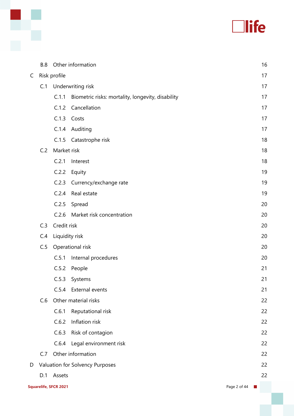

|   | <b>B.8</b> |                       | Other information                                 |              | 16 |
|---|------------|-----------------------|---------------------------------------------------|--------------|----|
| C |            | Risk profile          |                                                   |              | 17 |
|   | C.1        |                       | Underwriting risk                                 |              | 17 |
|   |            | C.1.1                 | Biometric risks: mortality, longevity, disability |              | 17 |
|   |            | C.1.2                 | Cancellation                                      |              | 17 |
|   |            | C.1.3                 | Costs                                             |              | 17 |
|   |            | C.1.4                 | Auditing                                          |              | 17 |
|   |            |                       | C.1.5 Catastrophe risk                            |              | 18 |
|   | C.2        | Market risk           |                                                   |              | 18 |
|   |            | C.2.1                 | Interest                                          |              | 18 |
|   |            | C.2.2                 | Equity                                            |              | 19 |
|   |            | C.2.3                 | Currency/exchange rate                            |              | 19 |
|   |            | C.2.4                 | Real estate                                       |              | 19 |
|   |            | C.2.5                 | Spread                                            |              | 20 |
|   |            | C.2.6                 | Market risk concentration                         |              | 20 |
|   | C.3        | Credit risk           |                                                   |              | 20 |
|   | C.4        | Liquidity risk        |                                                   |              | 20 |
|   | C.5        |                       | Operational risk                                  |              | 20 |
|   |            | C.5.1                 | Internal procedures                               |              | 20 |
|   |            | C.5.2                 | People                                            |              | 21 |
|   |            | C.5.3                 | Systems                                           |              | 21 |
|   |            | C.5.4                 | External events                                   |              | 21 |
|   | C.6        |                       | Other material risks                              |              | 22 |
|   |            | C.6.1                 | Reputational risk                                 |              | 22 |
|   |            | C.6.2                 | Inflation risk                                    |              | 22 |
|   |            | C.6.3                 | Risk of contagion                                 |              | 22 |
|   |            | C.6.4                 | Legal environment risk                            |              | 22 |
|   | C.7        |                       | Other information                                 |              | 22 |
| D |            |                       | Valuation for Solvency Purposes                   |              | 22 |
|   | D.1        | Assets                |                                                   |              | 22 |
|   |            | Squarelife, SFCR 2021 |                                                   | Page 2 of 44 | n. |

٦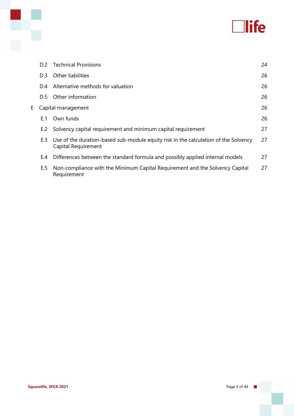

|   | D.2 | <b>Technical Provisions</b>                                                                                | 24 |
|---|-----|------------------------------------------------------------------------------------------------------------|----|
|   | D.3 | Other liabilities                                                                                          | 26 |
|   | D.4 | Alternative methods for valuation                                                                          | 26 |
|   | D.5 | Other information                                                                                          | 26 |
| E |     | Capital management                                                                                         | 26 |
|   | E.1 | Own funds                                                                                                  | 26 |
|   | E.2 | Solvency capital requirement and minimum capital requirement                                               | 27 |
|   | E.3 | Use of the duration-based sub-module equity risk in the calculation of the Solvency<br>Capital Requirement | 27 |
|   | E.4 | Differences between the standard formula and possibly applied internal models                              | 27 |
|   | E.5 | Non-compliance with the Minimum Capital Requirement and the Solvency Capital<br>Requirement                | 27 |

x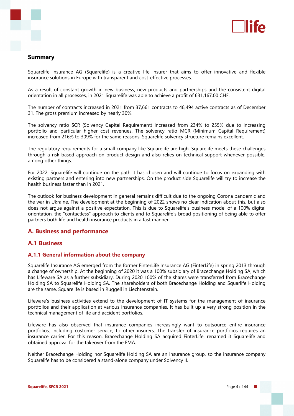

#### **Summary**

Squarelife Insurance AG (Squarelife) is a creative life insurer that aims to offer innovative and flexible insurance solutions in Europe with transparent and cost-effective processes.

As a result of constant growth in new business, new products and partnerships and the consistent digital orientation in all processes, in 2021 Squarelife was able to achieve a profit of 631,167.00 CHF.

The number of contracts increased in 2021 from 37,661 contracts to 48,494 active contracts as of December 31. The gross premium increased by nearly 30%.

The solvency ratio SCR (Solvency Capital Requirement) increased from 234% to 255% due to increasing portfolio and particular higher cost revenues. The solvency ratio MCR (Minimum Capital Requirement) increased from 216% to 309% for the same reasons. Squarelife solvency structure remains excellent.

The regulatory requirements for a small company like Squarelife are high. Squarelife meets these challenges through a risk-based approach on product design and also relies on technical support whenever possible, among other things.

For 2022, Squarelife will continue on the path it has chosen and will continue to focus on expanding with existing partners and entering into new partnerships. On the product side Squarelife will try to increase the health business faster than in 2021.

The outlook for business development in general remains difficult due to the ongoing Corona pandemic and the war in Ukraine. The development at the beginning of 2022 shows no clear indication about this, but also does not argue against a positive expectation. This is due to Squarelife's business model of a 100% digital orientation, the "contactless" approach to clients and to Squarelife's broad positioning of being able to offer partners both life and health insurance products in a fast manner.

#### **A. Business and performance**

#### **A.1 Business**

#### **A.1.1 General information about the company**

Squarelife Insurance AG emerged from the former FinterLife Insurance AG (FinterLife) in spring 2013 through a change of ownership. At the beginning of 2020 it was a 100% subsidiary of Bracechange Holding SA, which has Lifeware SA as a further subsidiary. During 2020 100% of the shares were transferred from Bracechange Holding SA to Squarelife Holding SA. The shareholders of both Bracechange Holding and Squarlife Holding are the same. Squarelife is based in Ruggell in Liechtenstein.

Lifeware's business activities extend to the development of IT systems for the management of insurance portfolios and their application at various insurance companies. It has built up a very strong position in the technical management of life and accident portfolios.

Lifeware has also observed that insurance companies increasingly want to outsource entire insurance portfolios, including customer service, to other insurers. The transfer of insurance portfolios requires an insurance carrier. For this reason, Bracechange Holding SA acquired FinterLife, renamed it Squarelife and obtained approval for the takeover from the FMA.

Neither Bracechange Holding nor Squarelife Holding SA are an insurance group, so the insurance company Squarelife has to be considered a stand-alone company under Solvency II.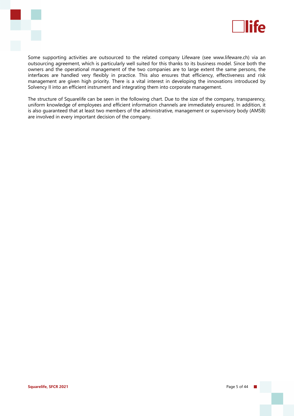



Some supporting activities are outsourced to the related company Lifeware (see www.lifeware.ch) via an outsourcing agreement, which is particularly well suited for this thanks to its business model. Since both the owners and the operational management of the two companies are to large extent the same persons, the interfaces are handled very flexibly in practice. This also ensures that efficiency, effectiveness and risk management are given high priority. There is a vital interest in developing the innovations introduced by Solvency II into an efficient instrument and integrating them into corporate management.

The structure of Squarelife can be seen in the following chart. Due to the size of the company, transparency, uniform knowledge of employees and efficient information channels are immediately ensured. In addition, it is also guaranteed that at least two members of the administrative, management or supervisory body (AMSB) are involved in every important decision of the company.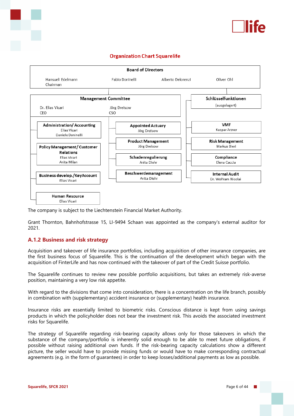

#### **Organization Chart Squarelife**



The company is subject to the Liechtenstein Financial Market Authority.

Grant Thornton, Bahnhofstrasse 15, LI-9494 Schaan was appointed as the company's external auditor for 2021.

#### **A.1.2 Business and risk strategy**

Acquisition and takeover of life insurance portfolios, including acquisition of other insurance companies, are the first business focus of Squarelife. This is the continuation of the development which began with the acquisition of FinterLife and has now continued with the takeover of part of the Credit Suisse portfolio.

The Squarelife continues to review new possible portfolio acquisitions, but takes an extremely risk-averse position, maintaining a very low risk appetite.

With regard to the divisions that come into consideration, there is a concentration on the life branch, possibly in combination with (supplementary) accident insurance or (supplementary) health insurance.

Insurance risks are essentially limited to biometric risks. Conscious distance is kept from using savings products in which the policyholder does not bear the investment risk. This avoids the associated investment risks for Squarelife.

The strategy of Squarelife regarding risk-bearing capacity allows only for those takeovers in which the substance of the company/portfolio is inherently solid enough to be able to meet future obligations, if possible without raising additional own funds. If the risk-bearing capacity calculations show a different picture, the seller would have to provide missing funds or would have to make corresponding contractual agreements (e.g. in the form of guarantees) in order to keep losses/additional payments as low as possible.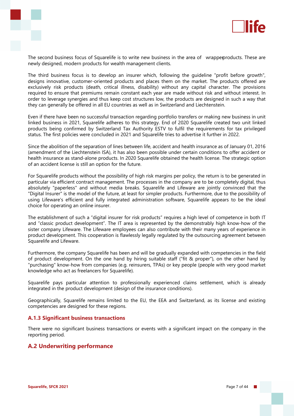



The second business focus of Squarelife is to write new business in the area of wrapperproducts. These are newly designed, modern products for wealth management clients.

The third business focus is to develop an insurer which, following the guideline "profit before growth", designs innovative, customer-oriented products and places them on the market. The products offered are exclusively risk products (death, critical illness, disability) without any capital character. The provisions required to ensure that premiums remain constant each year are made without risk and without interest. In order to leverage synergies and thus keep cost structures low, the products are designed in such a way that they can generally be offered in all EU countries as well as in Switzerland and Liechtenstein.

Even if there have been no successful transaction regarding portfolio transfers or making new business in unit linked business in 2021, Squarelife adheres to this strategy. End of 2020 Squarelife created two unit linked products being confirmed by Switzerland Tax Authority ESTV to fulfil the requirements for tax privileged status. The first policies were concluded in 2021 and Squarelife tries to advertise it further in 2022.

Since the abolition of the separation of lines between life, accident and health insurance as of January 01, 2016 (amendment of the Liechtenstein ISA), it has also been possible under certain conditions to offer accident or health insurance as stand-alone products. In 2020 Squarelife obtained the health license. The strategic option of an accident license is still an option for the future.

For Squarelife products without the possibility of high risk margins per policy, the return is to be generated in particular via efficient contract management. The processes in the company are to be completely digital, thus absolutely "paperless" and without media breaks. Squarelife and Lifeware are jointly convinced that the "Digital Insurer" is the model of the future, at least for simpler products. Furthermore, due to the possibility of using Lifeware's efficient and fully integrated administration software, Squarelife appears to be the ideal choice for operating an online insurer.

The establishment of such a "digital insurer for risk products" requires a high level of competence in both IT and "classic product development". The IT area is represented by the demonstrably high know-how of the sister company Lifeware. The Lifeware employees can also contribute with their many years of experience in product development. This cooperation is flawlessly legally regulated by the outsourcing agreement between Squarelife and Lifeware.

Furthermore, the company Squarelife has been and will be gradually expanded with competencies in the field of product development. On the one hand by hiring suitable staff ("fit & proper"), on the other hand by "purchasing" know-how from companies (e.g. reinsurers, TPAs) or key people (people with very good market knowledge who act as freelancers for Squarelife).

Squarelife pays particular attention to professionally experienced claims settlement, which is already integrated in the product development (design of the insurance conditions).

Geographically, Squarelife remains limited to the EU, the EEA and Switzerland, as its license and existing competencies are designed for these regions.

#### **A.1.3 Significant business transactions**

There were no significant business transactions or events with a significant impact on the company in the reporting period.

#### **A.2 Underwriting performance**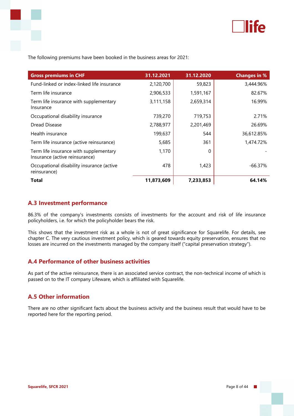

The following premiums have been booked in the business areas for 2021:

| <b>Gross premiums in CHF</b>                                             | 31.12.2021 | 31.12.2020 | <b>Changes in %</b> |
|--------------------------------------------------------------------------|------------|------------|---------------------|
| Fund-linked or index-linked life insurance                               | 2,120,700  | 59,823     | 3,444.96%           |
| Term life insurance                                                      | 2,906,533  | 1,591,167  | 82.67%              |
| Term life insurance with supplementary<br>Insurance                      | 3,111,158  | 2,659,314  | 16.99%              |
| Occupational disability insurance                                        | 739,270    | 719,753    | 2.71%               |
| Dread Disease                                                            | 2,788,977  | 2,201,469  | 26.69%              |
| Health insurance                                                         | 199,637    | 544        | 36,612.85%          |
| Term life insurance (active reinsurance)                                 | 5,685      | 361        | 1,474.72%           |
| Term life insurance with supplementary<br>Insurance (active reinsurance) | 1,170      | 0          |                     |
| Occupational disability insurance (active<br>reinsurance)                | 478        | 1,423      | $-66.37\%$          |
| <b>Total</b>                                                             | 11,873,609 | 7,233,853  | 64.14%              |

#### **A.3 Investment performance**

86.3% of the company's investments consists of investments for the account and risk of life insurance policyholders, i.e. for which the policyholder bears the risk.

This shows that the investment risk as a whole is not of great significance for Squarelife. For details, see chapter C. The very cautious investment policy, which is geared towards equity preservation, ensures that no losses are incurred on the investments managed by the company itself ("capital preservation strategy").

#### **A.4 Performance of other business activities**

As part of the active reinsurance, there is an associated service contract, the non-technical income of which is passed on to the IT company Lifeware, which is affiliated with Squarelife.

#### **A.5 Other information**

There are no other significant facts about the business activity and the business result that would have to be reported here for the reporting period.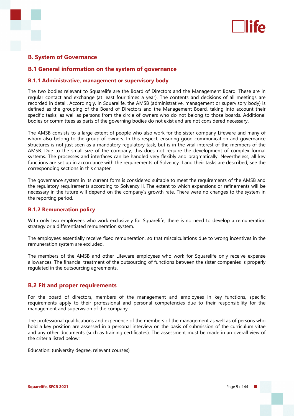

#### **B. System of Governance**

#### **B.1 General information on the system of governance**

#### **B.1.1 Administrative, management or supervisory body**

The two bodies relevant to Squarelife are the Board of Directors and the Management Board. These are in regular contact and exchange (at least four times a year). The contents and decisions of all meetings are recorded in detail. Accordingly, in Squarelife, the AMSB (administrative, management or supervisory body) is defined as the grouping of the Board of Directors and the Management Board, taking into account their specific tasks, as well as persons from the circle of owners who do not belong to those boards. Additional bodies or committees as parts of the governing bodies do not exist and are not considered necessary.

The AMSB consists to a large extent of people who also work for the sister company Lifeware and many of whom also belong to the group of owners. In this respect, ensuring good communication and governance structures is not just seen as a mandatory regulatory task, but is in the vital interest of the members of the AMSB. Due to the small size of the company, this does not require the development of complex formal systems. The processes and interfaces can be handled very flexibly and pragmatically. Nevertheless, all key functions are set up in accordance with the requirements of Solvency II and their tasks are described; see the corresponding sections in this chapter.

The governance system in its current form is considered suitable to meet the requirements of the AMSB and the regulatory requirements according to Solvency II. The extent to which expansions or refinements will be necessary in the future will depend on the company's growth rate. There were no changes to the system in the reporting period.

#### **B.1.2 Remuneration policy**

With only two employees who work exclusively for Squarelife, there is no need to develop a remuneration strategy or a differentiated remuneration system.

The employees essentially receive fixed remuneration, so that miscalculations due to wrong incentives in the remuneration system are excluded.

The members of the AMSB and other Lifeware employees who work for Squarelife only receive expense allowances. The financial treatment of the outsourcing of functions between the sister companies is properly regulated in the outsourcing agreements.

#### **B.2 Fit and proper requirements**

For the board of directors, members of the management and employees in key functions, specific requirements apply to their professional and personal competencies due to their responsibility for the management and supervision of the company.

The professional qualifications and experience of the members of the management as well as of persons who hold a key position are assessed in a personal interview on the basis of submission of the curriculum vitae and any other documents (such as training certificates). The assessment must be made in an overall view of the criteria listed below:

Education: (university degree, relevant courses)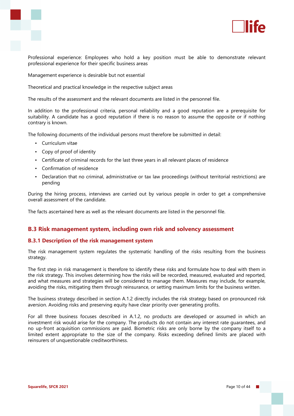



Professional experience: Employees who hold a key position must be able to demonstrate relevant professional experience for their specific business areas

Management experience is desirable but not essential

Theoretical and practical knowledge in the respective subject areas

The results of the assessment and the relevant documents are listed in the personnel file.

In addition to the professional criteria, personal reliability and a good reputation are a prerequisite for suitability. A candidate has a good reputation if there is no reason to assume the opposite or if nothing contrary is known.

The following documents of the individual persons must therefore be submitted in detail:

- Curriculum vitae
- Copy of proof of identity
- Certificate of criminal records for the last three years in all relevant places of residence
- Confirmation of residence
- Declaration that no criminal, administrative or tax law proceedings (without territorial restrictions) are pending

During the hiring process, interviews are carried out by various people in order to get a comprehensive overall assessment of the candidate.

The facts ascertained here as well as the relevant documents are listed in the personnel file.

#### **B.3 Risk management system, including own risk and solvency assessment**

#### **B.3.1 Description of the risk management system**

The risk management system regulates the systematic handling of the risks resulting from the business strategy.

The first step in risk management is therefore to identify these risks and formulate how to deal with them in the risk strategy. This involves determining how the risks will be recorded, measured, evaluated and reported, and what measures and strategies will be considered to manage them. Measures may include, for example, avoiding the risks, mitigating them through reinsurance, or setting maximum limits for the business written.

The business strategy described in section A.1.2 directly includes the risk strategy based on pronounced risk aversion. Avoiding risks and preserving equity have clear priority over generating profits.

For all three business focuses described in A.1.2, no products are developed or assumed in which an investment risk would arise for the company. The products do not contain any interest rate guarantees, and no up-front acquisition commissions are paid. Biometric risks are only borne by the company itself to a limited extent appropriate to the size of the company. Risks exceeding defined limits are placed with reinsurers of unquestionable creditworthiness.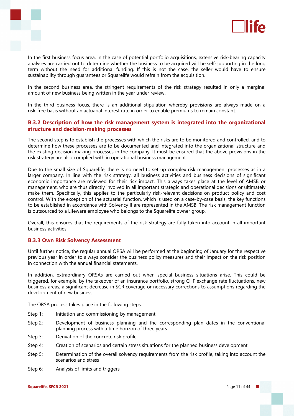



In the first business focus area, in the case of potential portfolio acquisitions, extensive risk-bearing capacity analyses are carried out to determine whether the business to be acquired will be self-supporting in the long term without the need for additional funding. If this is not the case, the seller would have to ensure sustainability through guarantees or Squarelife would refrain from the acquisition.

In the second business area, the stringent requirements of the risk strategy resulted in only a marginal amount of new business being written in the year under review.

In the third business focus, there is an additional stipulation whereby provisions are always made on a risk-free basis without an actuarial interest rate in order to enable premiums to remain constant.

#### **B.3.2 Description of how the risk management system is integrated into the organizational structure and decision-making processes**

The second step is to establish the processes with which the risks are to be monitored and controlled, and to determine how these processes are to be documented and integrated into the organizational structure and the existing decision-making processes in the company. It must be ensured that the above provisions in the risk strategy are also complied with in operational business management.

Due to the small size of Squarelife, there is no need to set up complex risk management processes as in a larger company. In line with the risk strategy, all business activities and business decisions of significant economic importance are reviewed for their risk impact. This always takes place at the level of AMSB or management, who are thus directly involved in all important strategic and operational decisions or ultimately make them. Specifically, this applies to the particularly risk-relevant decisions on product policy and cost control. With the exception of the actuarial function, which is used on a case-by-case basis, the key functions to be established in accordance with Solvency II are represented in the AMSB. The risk management function is outsourced to a Lifeware employee who belongs to the Squarelife owner group.

Overall, this ensures that the requirements of the risk strategy are fully taken into account in all important business activities.

#### **B.3.3 Own Risk Solvency Assessment**

Until further notice, the regular annual ORSA will be performed at the beginning of January for the respective previous year in order to always consider the business policy measures and their impact on the risk position in connection with the annual financial statements.

In addition, extraordinary ORSAs are carried out when special business situations arise. This could be triggered, for example, by the takeover of an insurance portfolio, strong CHF exchange rate fluctuations, new business areas, a significant decrease in SCR coverage or necessary corrections to assumptions regarding the development of new business.

The ORSA process takes place in the following steps:

- Step 1: Initiation and commissioning by management
- Step 2: Development of business planning and the corresponding plan dates in the conventional planning process with a time horizon of three years
- Step 3: Derivation of the concrete risk profile
- Step 4: Creation of scenarios and certain stress situations for the planned business development
- Step 5: Determination of the overall solvency requirements from the risk profile, taking into account the scenarios and stress
- Step 6: Analysis of limits and triggers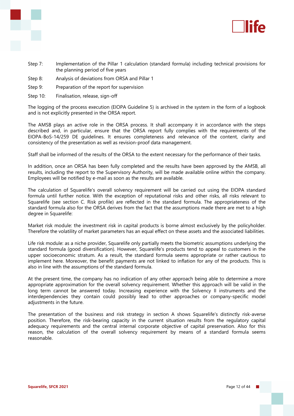



- Step 7: Implementation of the Pillar 1 calculation (standard formula) including technical provisions for the planning period of five years
- Step 8: Analysis of deviations from ORSA and Pillar 1
- Step 9: Preparation of the report for supervision
- Step 10: Finalisation, release, sign-off

The logging of the process execution (EIOPA Guideline 5) is archived in the system in the form of a logbook and is not explicitly presented in the ORSA report.

The AMSB plays an active role in the ORSA process. It shall accompany it in accordance with the steps described and, in particular, ensure that the ORSA report fully complies with the requirements of the EIOPA-BoS-14/259 DE guidelines. It ensures completeness and relevance of the content, clarity and consistency of the presentation as well as revision-proof data management.

Staff shall be informed of the results of the ORSA to the extent necessary for the performance of their tasks.

In addition, once an ORSA has been fully completed and the results have been approved by the AMSB, all results, including the report to the Supervisory Authority, will be made available online within the company. Employees will be notified by e-mail as soon as the results are available.

The calculation of Squarelife's overall solvency requirement will be carried out using the EIOPA standard formula until further notice. With the exception of reputational risks and other risks, all risks relevant to Squarelife (see section C. Risk profile) are reflected in the standard formula. The appropriateness of the standard formula also for the ORSA derives from the fact that the assumptions made there are met to a high degree in Squarelife:

Market risk module: the investment risk in capital products is borne almost exclusively by the policyholder. Therefore the volatility of market parameters has an equal effect on these assets and the associated liabilities.

Life risk module: as a niche provider, Squarelife only partially meets the biometric assumptions underlying the standard formula (good diversification). However, Squarelife's products tend to appeal to customers in the upper socioeconomic stratum. As a result, the standard formula seems appropriate or rather cautious to implement here. Moreover, the benefit payments are not linked to inflation for any of the products. This is also in line with the assumptions of the standard formula.

At the present time, the company has no indication of any other approach being able to determine a more appropriate approximation for the overall solvency requirement. Whether this approach will be valid in the long term cannot be answered today. Increasing experience with the Solvency II instruments and the interdependencies they contain could possibly lead to other approaches or company-specific model adjustments in the future.

The presentation of the business and risk strategy in section A shows Squarelife's distinctly risk-averse position. Therefore, the risk-bearing capacity in the current situation results from the regulatory capital adequacy requirements and the central internal corporate objective of capital preservation. Also for this reason, the calculation of the overall solvency requirement by means of a standard formula seems reasonable.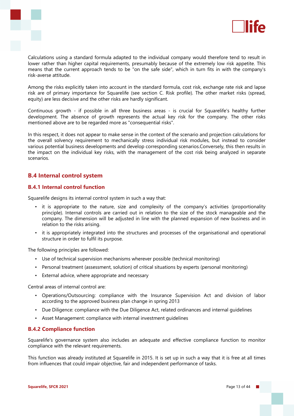



Calculations using a standard formula adapted to the individual company would therefore tend to result in lower rather than higher capital requirements, presumably because of the extremely low risk appetite. This means that the current approach tends to be "on the safe side", which in turn fits in with the company's risk-averse attitude.

Among the risks explicitly taken into account in the standard formula, cost risk, exchange rate risk and lapse risk are of primary importance for Squarelife (see section C. Risk profile). The other market risks (spread, equity) are less decisive and the other risks are hardly significant.

Continuous growth - if possible in all three business areas - is crucial for Squarelife's healthy further development. The absence of growth represents the actual key risk for the company. The other risks mentioned above are to be regarded more as "consequential risks".

In this respect, it does not appear to make sense in the context of the scenario and projection calculations for the overall solvency requirement to mechanically stress individual risk modules, but instead to consider various potential business developments and develop corresponding scenarios.Conversely, this then results in the impact on the individual key risks, with the management of the cost risk being analyzed in separate scenarios.

#### **B.4 Internal control system**

#### **B.4.1 Internal control function**

Squarelife designs its internal control system in such a way that:

- it is appropriate to the nature, size and complexity of the company's activities (proportionality principle). Internal controls are carried out in relation to the size of the stock manageable and the company. The dimension will be adjusted in line with the planned expansion of new business and in relation to the risks arising.
- it is appropriately integrated into the structures and processes of the organisational and operational structure in order to fulfil its purpose.

The following principles are followed:

- Use of technical supervision mechanisms wherever possible (technical monitoring)
- Personal treatment (assessment, solution) of critical situations by experts (personal monitoring)
- External advice, where appropriate and necessary

Central areas of internal control are:

- Operations/Outsourcing: compliance with the Insurance Supervision Act and division of labor according to the approved business plan change in spring 2013
- Due Diligence: compliance with the Due Diligence Act, related ordinances and internal guidelines
- Asset Management: compliance with internal investment guidelines

#### **B.4.2 Compliance function**

Squarelife's governance system also includes an adequate and effective compliance function to monitor compliance with the relevant requirements.

This function was already instituted at Squarelife in 2015. It is set up in such a way that it is free at all times from influences that could impair objective, fair and independent performance of tasks.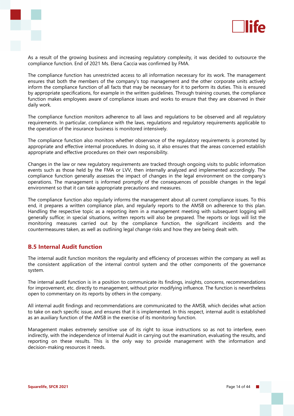



As a result of the growing business and increasing regulatory complexity, it was decided to outsource the compliance function. End of 2021 Ms. Elena Caccia was confirmed by FMA.

The compliance function has unrestricted access to all information necessary for its work. The management ensures that both the members of the company's top management and the other corporate units actively inform the compliance function of all facts that may be necessary for it to perform its duties. This is ensured by appropriate specifications, for example in the written guidelines. Through training courses, the compliance function makes employees aware of compliance issues and works to ensure that they are observed in their daily work.

The compliance function monitors adherence to all laws and regulations to be observed and all regulatory requirements. In particular, compliance with the laws, regulations and regulatory requirements applicable to the operation of the insurance business is monitored intensively.

The compliance function also monitors whether observance of the regulatory requirements is promoted by appropriate and effective internal procedures. In doing so, it also ensures that the areas concerned establish appropriate and effective procedures on their own responsibility.

Changes in the law or new regulatory requirements are tracked through ongoing visits to public information events such as those held by the FMA or LVV, then internally analyzed and implemented accordingly. The compliance function generally assesses the impact of changes in the legal environment on the company's operations. The management is informed promptly of the consequences of possible changes in the legal environment so that it can take appropriate precautions and measures.

The compliance function also regularly informs the management about all current compliance issues. To this end, it prepares a written compliance plan, and regularly reports to the AMSB on adherence to this plan. Handling the respective topic as a reporting item in a management meeting with subsequent logging will generally suffice; in special situations, written reports will also be prepared. The reports or logs will list the monitoring measures carried out by the compliance function, the significant incidents and the countermeasures taken, as well as outlining legal change risks and how they are being dealt with.

#### **B.5 Internal Audit function**

The internal audit function monitors the regularity and efficiency of processes within the company as well as the consistent application of the internal control system and the other components of the governance system.

The internal audit function is in a position to communicate its findings, insights, concerns, recommendations for improvement, etc. directly to management, without prior modifying influence. The function is nevertheless open to commentary on its reports by others in the company.

All internal audit findings and recommendations are communicated to the AMSB, which decides what action to take on each specific issue, and ensures that it is implemented. In this respect, internal audit is established as an auxiliary function of the AMSB in the exercise of its monitoring function.

Management makes extremely sensitive use of its right to issue instructions so as not to interfere, even indirectly, with the independence of Internal Audit in carrying out the examination, evaluating the results, and reporting on these results. This is the only way to provide management with the information and decision-making resources it needs.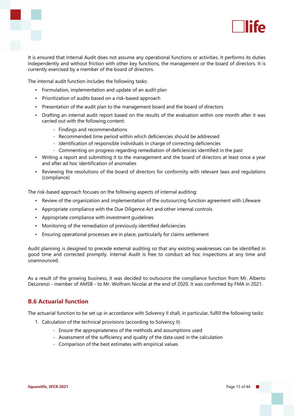



It is ensured that Internal Audit does not assume any operational functions or activities. It performs its duties independently and without friction with other key functions, the management or the board of directors. It is currently exercised by a member of the board of directors.

The internal audit function includes the following tasks:

- Formulation, implementation and update of an audit plan
- Prioritization of audits based on a risk-based approach
- Presentation of the audit plan to the management board and the board of directors
- Drafting an internal audit report based on the results of the evaluation within one month after it was carried out with the following content:
	- Findings and recommendations
	- Recommended time period within which deficiencies should be addressed
	- Identification of responsible individuals in charge of correcting deficiencies
	- Commenting on progress regarding remediation of deficiencies identified in the past
- Writing a report and submitting it to the management and the board of directors at least once a year and after ad hoc identification of anomalies
- Reviewing the resolutions of the board of directors for conformity with relevant laws and regulations (compliance)

The risk-based approach focuses on the following aspects of internal auditing:

- Review of the organization and implementation of the outsourcing function agreement with Lifeware
- Appropriate compliance with the Due Diligence Act and other internal controls
- Appropriate compliance with investment guidelines
- Monitoring of the remediation of previously identified deficiencies
- Ensuring operational processes are in place, particularly for claims settlement

Audit planning is designed to precede external auditing so that any existing weaknesses can be identified in good time and corrected promptly. Internal Audit is free to conduct ad hoc inspections at any time and unannounced.

As a result of the growing business, it was decided to outsource the compliance function from Mr. Alberto DeLorenzi - member of AMSB - to Mr. Wolfram Nicolai at the end of 2020. It was confirmed by FMA in 2021.

#### **B.6 Actuarial function**

The actuarial function to be set up in accordance with Solvency II shall, in particular, fulfill the following tasks:

- 1. Calculation of the technical provisions (according to Solvency II)
	- Ensure the appropriateness of the methods and assumptions used
	- Assessment of the sufficiency and quality of the data used in the calculation
	- Comparison of the best estimates with empirical values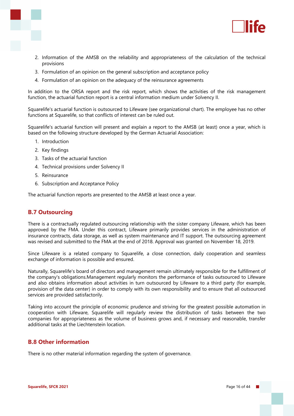

- 2. Information of the AMSB on the reliability and appropriateness of the calculation of the technical provisions
- 3. Formulation of an opinion on the general subscription and acceptance policy
- 4. Formulation of an opinion on the adequacy of the reinsurance agreements

In addition to the ORSA report and the risk report, which shows the activities of the risk management function, the actuarial function report is a central information medium under Solvency II.

Squarelife's actuarial function is outsourced to Lifeware (see organizational chart). The employee has no other functions at Squarelife, so that conflicts of interest can be ruled out.

Squarelife's actuarial function will present and explain a report to the AMSB (at least) once a year, which is based on the following structure developed by the German Actuarial Association:

- 1. Introduction
- 2. Key findings
- 3. Tasks of the actuarial function
- 4. Technical provisions under Solvency II
- 5. Reinsurance
- 6. Subscription and Acceptance Policy

The actuarial function reports are presented to the AMSB at least once a year.

#### **B.7 Outsourcing**

There is a contractually regulated outsourcing relationship with the sister company Lifeware, which has been approved by the FMA. Under this contract, Lifeware primarily provides services in the administration of insurance contracts, data storage, as well as system maintenance and IT support. The outsourcing agreement was revised and submitted to the FMA at the end of 2018. Approval was granted on November 18, 2019.

Since Lifeware is a related company to Squarelife, a close connection, daily cooperation and seamless exchange of information is possible and ensured.

Naturally, Squarelife's board of directors and management remain ultimately responsible for the fulfillment of the company's obligations.Management regularly monitors the performance of tasks outsourced to Lifeware and also obtains information about activities in turn outsourced by Lifeware to a third party (for example, provision of the data center) in order to comply with its own responsibility and to ensure that all outsourced services are provided satisfactorily.

Taking into account the principle of economic prudence and striving for the greatest possible automation in cooperation with Lifeware, Squarelife will regularly review the distribution of tasks between the two companies for appropriateness as the volume of business grows and, if necessary and reasonable, transfer additional tasks at the Liechtenstein location.

#### **B.8 Other information**

There is no other material information regarding the system of governance.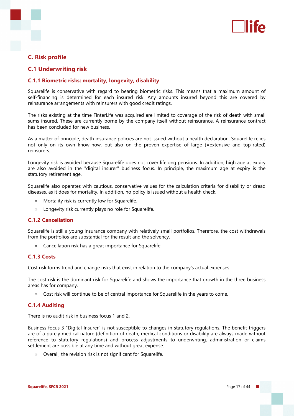

#### **C. Risk profile**

#### **C.1 Underwriting risk**

#### **C.1.1 Biometric risks: mortality, longevity, disability**

Squarelife is conservative with regard to bearing biometric risks. This means that a maximum amount of self-financing is determined for each insured risk. Any amounts insured beyond this are covered by reinsurance arrangements with reinsurers with good credit ratings.

The risks existing at the time FinterLife was acquired are limited to coverage of the risk of death with small sums insured. These are currently borne by the company itself without reinsurance. A reinsurance contract has been concluded for new business.

As a matter of principle, death insurance policies are not issued without a health declaration. Squarelife relies not only on its own know-how, but also on the proven expertise of large (=extensive and top-rated) reinsurers.

Longevity risk is avoided because Squarelife does not cover lifelong pensions. In addition, high age at expiry are also avoided in the "digital insurer" business focus. In principle, the maximum age at expiry is the statutory retirement age.

Squarelife also operates with cautious, conservative values for the calculation criteria for disability or dread diseases, as it does for mortality. In addition, no policy is issued without a health check.

- » Mortality risk is currently low for Squarelife.
- » Longevity risk currently plays no role for Squarelife.

#### **C.1.2 Cancellation**

Squarelife is still a young insurance company with relatively small portfolios. Therefore, the cost withdrawals from the portfolios are substantial for the result and the solvency.

» Cancellation risk has a great importance for Squarelife.

#### **C.1.3 Costs**

Cost risk forms trend and change risks that exist in relation to the company's actual expenses.

The cost risk is the dominant risk for Squarelife and shows the importance that growth in the three business areas has for company.

» Cost risk will continue to be of central importance for Squarelife in the years to come.

#### **C.1.4 Auditing**

There is no audit risk in business focus 1 and 2.

Business focus 3 "Digital Insurer" is not susceptible to changes in statutory regulations. The benefit triggers are of a purely medical nature (definition of death, medical conditions or disability are always made without reference to statutory regulations) and process adjustments to underwriting, administration or claims settlement are possible at any time and without great expense.

» Overall, the revision risk is not significant for Squarelife.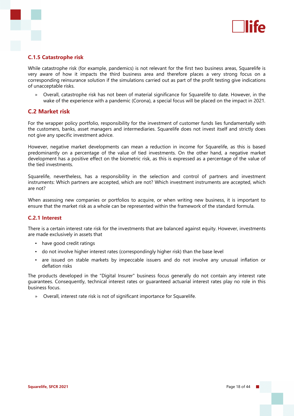

#### **C.1.5 Catastrophe risk**

While catastrophe risk (for example, pandemics) is not relevant for the first two business areas, Squarelife is very aware of how it impacts the third business area and therefore places a very strong focus on a corresponding reinsurance solution if the simulations carried out as part of the profit testing give indications of unacceptable risks.

» Overall, catastrophe risk has not been of material significance for Squarelife to date. However, in the wake of the experience with a pandemic (Corona), a special focus will be placed on the impact in 2021.

#### **C.2 Market risk**

For the wrapper policy portfolio, responsibility for the investment of customer funds lies fundamentally with the customers, banks, asset managers and intermediaries. Squarelife does not invest itself and strictly does not give any specific investment advice.

However, negative market developments can mean a reduction in income for Squarelife, as this is based predominantly on a percentage of the value of tied investments. On the other hand, a negative market development has a positive effect on the biometric risk, as this is expressed as a percentage of the value of the tied investments.

Squarelife, nevertheless, has a responsibility in the selection and control of partners and investment instruments: Which partners are accepted, which are not? Which investment instruments are accepted, which are not?

When assessing new companies or portfolios to acquire, or when writing new business, it is important to ensure that the market risk as a whole can be represented within the framework of the standard formula.

#### **C.2.1 Interest**

There is a certain interest rate risk for the investments that are balanced against equity. However, investments are made exclusively in assets that

- have good credit ratings
- do not involve higher interest rates (correspondingly higher risk) than the base level
- are issued on stable markets by impeccable issuers and do not involve any unusual inflation or deflation risks

The products developed in the "Digital Insurer" business focus generally do not contain any interest rate guarantees. Consequently, technical interest rates or guaranteed actuarial interest rates play no role in this business focus.

» Overall, interest rate risk is not of significant importance for Squarelife.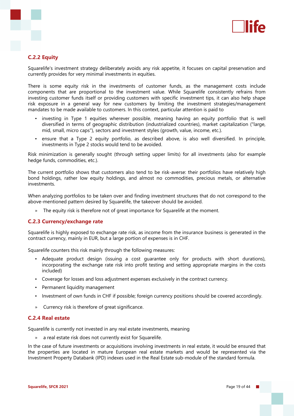

#### **C.2.2 Equity**

Squarelife's investment strategy deliberately avoids any risk appetite, it focuses on capital preservation and currently provides for very minimal investments in equities.

There is some equity risk in the investments of customer funds, as the management costs include components that are proportional to the investment value. While Squarelife consistently refrains from investing customer funds itself or providing customers with specific investment tips, it can also help shape risk exposure in a general way for new customers by limiting the investment strategies/management mandates to be made available to customers. In this context, particular attention is paid to

- investing in Type 1 equities wherever possible, meaning having an equity portfolio that is well diversified in terms of geographic distribution (industrialized countries), market capitalization ("large, mid, small, micro caps"), sectors and investment styles (growth, value, income, etc.).
- ensure that a Type 2 equity portfolio, as described above, is also well diversified. In principle, investments in Type 2 stocks would tend to be avoided.

Risk minimization is generally sought (through setting upper limits) for all investments (also for example hedge funds, commodities, etc.).

The current portfolio shows that customers also tend to be risk-averse: their portfolios have relatively high bond holdings, rather low equity holdings, and almost no commodities, precious metals, or alternative investments.

When analyzing portfolios to be taken over and finding investment structures that do not correspond to the above-mentioned pattern desired by Squarelife, the takeover should be avoided.

The equity risk is therefore not of great importance for Squarelife at the moment.

#### **C.2.3 Currency/exchange rate**

Squarelife is highly exposed to exchange rate risk, as income from the insurance business is generated in the contract currency, mainly in EUR, but a large portion of expenses is in CHF.

Squarelife counters this risk mainly through the following measures:

- Adequate product design (issuing a cost quarantee only for products with short durations), incorporating the exchange rate risk into profit testing and setting appropriate margins in the costs included)
- Coverage for losses and loss adjustment expenses exclusively in the contract currency.
- Permanent liquidity management
- Investment of own funds in CHF if possible; foreign currency positions should be covered accordingly.
- » Currency risk is therefore of great significance.

#### **C.2.4 Real estate**

Squarelife is currently not invested in any real estate investments, meaning

» a real estate risk does not currently exist for Squarelife.

In the case of future investments or acquisitions involving investments in real estate, it would be ensured that the properties are located in mature European real estate markets and would be represented via the Investment Property Databank (IPD) indexes used in the Real Estate sub-module of the standard formula.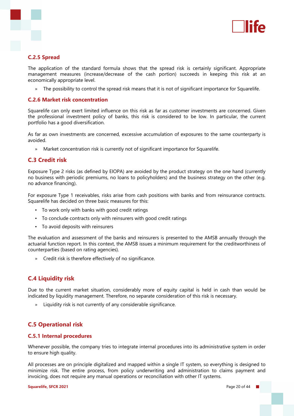

#### **C.2.5 Spread**

The application of the standard formula shows that the spread risk is certainly significant. Appropriate management measures (increase/decrease of the cash portion) succeeds in keeping this risk at an economically appropriate level.

» The possibility to control the spread risk means that it is not of significant importance for Squarelife.

#### **C.2.6 Market risk concentration**

Squarelife can only exert limited influence on this risk as far as customer investments are concerned. Given the professional investment policy of banks, this risk is considered to be low. In particular, the current portfolio has a good diversification.

As far as own investments are concerned, excessive accumulation of exposures to the same counterparty is avoided.

» Market concentration risk is currently not of significant importance for Squarelife.

#### **C.3 Credit risk**

Exposure Type 2 risks (as defined by EIOPA) are avoided by the product strategy on the one hand (currently no business with periodic premiums, no loans to policyholders) and the business strategy on the other (e.g. no advance financing).

For exposure Type 1 receivables, risks arise from cash positions with banks and from reinsurance contracts. Squarelife has decided on three basic measures for this:

- To work only with banks with good credit ratings
- To conclude contracts only with reinsurers with good credit ratings
- To avoid deposits with reinsurers

The evaluation and assessment of the banks and reinsurers is presented to the AMSB annually through the actuarial function report. In this context, the AMSB issues a minimum requirement for the creditworthiness of counterparties (based on rating agencies).

» Credit risk is therefore effectively of no significance.

#### **C.4 Liquidity risk**

Due to the current market situation, considerably more of equity capital is held in cash than would be indicated by liquidity management. Therefore, no separate consideration of this risk is necessary.

» Liquidity risk is not currently of any considerable significance.

#### **C.5 Operational risk**

#### **C.5.1 Internal procedures**

Whenever possible, the company tries to integrate internal procedures into its administrative system in order to ensure high quality.

All processes are on principle digitalized and mapped within a single IT system, so everything is designed to minimize risk. The entire process, from policy underwriting and administration to claims payment and invoicing, does not require any manual operations or reconciliation with other IT systems.

#### **Squarelife, SFCR 2021 Page 20 of 44**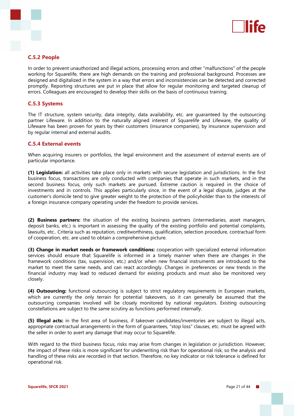

#### **C.5.2 People**

In order to prevent unauthorized and illegal actions, processing errors and other "malfunctions" of the people working for Squarelife, there are high demands on the training and professional background. Processes are designed and digitalized in the system in a way that errors and inconsistencies can be detected and corrected promptly. Reporting structures are put in place that allow for regular monitoring and targeted cleanup of errors. Colleagues are encouraged to develop their skills on the basis of continuous training.

#### **C.5.3 Systems**

The IT structure, system security, data integrity, data availability, etc. are guaranteed by the outsourcing partner Lifeware. In addition to the naturally aligned interest of Squarelife and Lifeware, the quality of Lifeware has been proven for years by their customers (insurance companies), by insurance supervision and by regular internal and external audits.

#### **C.5.4 External events**

When acquiring insurers or portfolios, the legal environment and the assessment of external events are of particular importance.

**(1) Legislation:** all activities take place only in markets with secure legislation and jurisdictions. In the first business focus, transactions are only conducted with companies that operate in such markets, and in the second business focus, only such markets are pursued. Extreme caution is required in the choice of investments and in controls. This applies particularly since, in the event of a legal dispute, judges at the customer's domicile tend to give greater weight to the protection of the policyholder than to the interests of a foreign insurance company operating under the freedom to provide services.

**(2) Business partners:** the situation of the existing business partners (intermediaries, asset managers, deposit banks, etc.) is important in assessing the quality of the existing portfolio and potential complaints, lawsuits, etc.. Criteria such as reputation, creditworthiness, qualification, selection procedure, contractual form of cooperation, etc. are used to obtain a comprehensive picture.

**(3) Change in market needs or framework conditions:** cooperation with specialized external information services should ensure that Squarelife is informed in a timely manner when there are changes in the framework conditions (tax, supervision, etc.) and/or when new financial instruments are introduced to the market to meet the same needs, and can react accordingly. Changes in preferences or new trends in the financial industry may lead to reduced demand for existing products and must also be monitored very closely.

**(4) Outsourcing:** functional outsourcing is subject to strict regulatory requirements in European markets, which are currently the only terrain for potential takeovers, so it can generally be assumed that the outsourcing companies involved will be closely monitored by national regulators. Existing outsourcing constellations are subject to the same scrutiny as functions performed internally.

**(5) Illegal acts:** in the first area of business, if takeover candidates/inventories are subject to illegal acts, appropriate contractual arrangements in the form of guarantees, "stop loss" clauses, etc. must be agreed with the seller in order to avert any damage that may occur to Squarelife.

With regard to the third business focus, risks may arise from changes in legislation or jurisdiction. However, the impact of these risks is more significant for underwriting risk than for operational risk, so the analysis and handling of these risks are recorded in that section. Therefore, no key indicator or risk tolerance is defined for operational risk.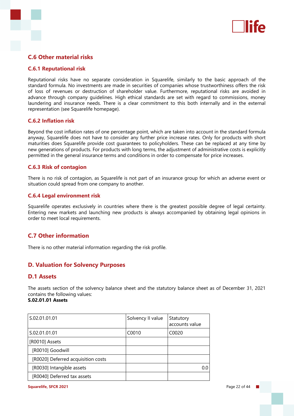

#### **C.6 Other material risks**

#### **C.6.1 Reputational risk**

Reputational risks have no separate consideration in Squarelife, similarly to the basic approach of the standard formula. No investments are made in securities of companies whose trustworthiness offers the risk of loss of revenues or destruction of shareholder value. Furthermore, reputational risks are avoided in advance through company guidelines. High ethical standards are set with regard to commissions, money laundering and insurance needs. There is a clear commitment to this both internally and in the external representation (see Squarelife homepage).

#### **C.6.2 Inflation risk**

Beyond the cost inflation rates of one percentage point, which are taken into account in the standard formula anyway, Squarelife does not have to consider any further price increase rates. Only for products with short maturities does Squarelife provide cost guarantees to policyholders. These can be replaced at any time by new generations of products. For products with long terms, the adjustment of administrative costs is explicitly permitted in the general insurance terms and conditions in order to compensate for price increases.

#### **C.6.3 Risk of contagion**

There is no risk of contagion, as Squarelife is not part of an insurance group for which an adverse event or situation could spread from one company to another.

#### **C.6.4 Legal environment risk**

Squarelife operates exclusively in countries where there is the greatest possible degree of legal certainty. Entering new markets and launching new products is always accompanied by obtaining legal opinions in order to meet local requirements.

#### **C.7 Other information**

There is no other material information regarding the risk profile.

#### **D. Valuation for Solvency Purposes**

#### **D.1 Assets**

The assets section of the solvency balance sheet and the statutory balance sheet as of December 31, 2021 contains the following values:

#### **S.02.01.01 Assets**

| S.02.01.01.01                      | Solvency II value | Statutory<br>accounts value |
|------------------------------------|-------------------|-----------------------------|
| S.02.01.01.01                      | C0010             | C0020                       |
| [R0010] Assets                     |                   |                             |
| [R0010] Goodwill                   |                   |                             |
| [R0020] Deferred acquisition costs |                   |                             |
| [R0030] Intangible assets          |                   | 0.0                         |
| [R0040] Deferred tax assets        |                   |                             |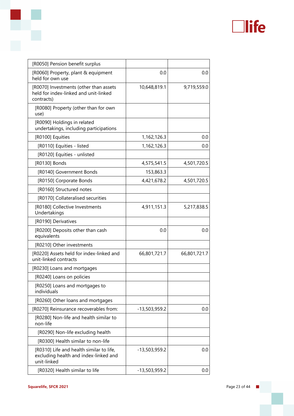

| [R0050] Pension benefit surplus                                                                  |                 |              |
|--------------------------------------------------------------------------------------------------|-----------------|--------------|
| [R0060] Property, plant & equipment<br>held for own use                                          | 0.0             | 0.0          |
| [R0070] Investments (other than assets<br>held for index-linked and unit-linked<br>contracts)    | 10,648,819.1    | 9,719,559.0  |
| [R0080] Property (other than for own<br>use)                                                     |                 |              |
| [R0090] Holdings in related<br>undertakings, including participations                            |                 |              |
| [R0100] Equities                                                                                 | 1,162,126.3     | 0.0          |
| [R0110] Equities - listed                                                                        | 1,162,126.3     | 0.0          |
| [R0120] Equities - unlisted                                                                      |                 |              |
| [R0130] Bonds                                                                                    | 4,575,541.5     | 4,501,720.5  |
| [R0140] Government Bonds                                                                         | 153,863.3       |              |
| [R0150] Corporate Bonds                                                                          | 4,421,678.2     | 4,501,720.5  |
| [R0160] Structured notes                                                                         |                 |              |
| [R0170] Collateralised securities                                                                |                 |              |
| [R0180] Collective Investments<br>Undertakings                                                   | 4,911,151.3     | 5,217,838.5  |
| [R0190] Derivatives                                                                              |                 |              |
| [R0200] Deposits other than cash<br>equivalents                                                  | 0.0             | 0.0          |
| [R0210] Other investments                                                                        |                 |              |
| [R0220] Assets held for index-linked and<br>unit-linked contracts                                | 66,801,721.7    | 66,801,721.7 |
| [R0230] Loans and mortgages                                                                      |                 |              |
| [R0240] Loans on policies                                                                        |                 |              |
| [R0250] Loans and mortgages to<br>individuals                                                    |                 |              |
| [R0260] Other loans and mortgages                                                                |                 |              |
| [R0270] Reinsurance recoverables from:                                                           | $-13,503,959.2$ | 0.0          |
| [R0280] Non-life and health similar to<br>non-life                                               |                 |              |
| [R0290] Non-life excluding health                                                                |                 |              |
| [R0300] Health similar to non-life                                                               |                 |              |
| [R0310] Life and health similar to life,<br>excluding health and index-linked and<br>unit-linked | -13,503,959.2   | 0.0          |
| [R0320] Health similar to life                                                                   | -13,503,959.2   | 0.0          |

r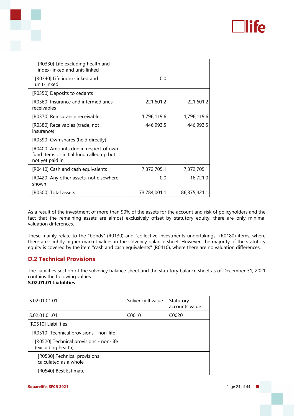

| [R0330] Life excluding health and<br>index-linked and unit-linked                                    |              |              |
|------------------------------------------------------------------------------------------------------|--------------|--------------|
| [R0340] Life index-linked and<br>unit-linked                                                         | 0.0          |              |
| [R0350] Deposits to cedants                                                                          |              |              |
| [R0360] Insurance and intermediaries<br>receivables                                                  | 221,601.2    | 221,601.2    |
| [R0370] Reinsurance receivables                                                                      | 1,796,119.6  | 1,796,119.6  |
| [R0380] Receivables (trade, not<br>insurance)                                                        | 446,993.5    | 446,993.5    |
| [R0390] Own shares (held directly)                                                                   |              |              |
| [R0400] Amounts due in respect of own<br>fund items or initial fund called up but<br>not yet paid in |              |              |
| [R0410] Cash and cash equivalents                                                                    | 7,372,705.1  | 7,372,705.1  |
| [R0420] Any other assets, not elsewhere<br>shown                                                     | 0.0          | 16,721.0     |
| [R0500] Total assets                                                                                 | 73,784,001.1 | 86,375,421.1 |
|                                                                                                      |              |              |

As a result of the investment of more than 90% of the assets for the account and risk of policyholders and the fact that the remaining assets are almost exclusively offset by statutory equity, there are only minimal valuation differences.

These mainly relate to the "bonds" (R0130) and "collective investments undertakings" (R0180) items, where there are slightly higher market values in the solvency balance sheet. However, the majority of the statutory equity is covered by the item "cash and cash equivalents" (R0410), where there are no valuation differences.

#### **D.2 Technical Provisions**

The liabilities section of the solvency balance sheet and the statutory balance sheet as of December 31, 2021 contains the following values: **S.02.01.01 Liabilities**

| S.02.01.01.01                                                 | Solvency II value | Statutory<br>accounts value |
|---------------------------------------------------------------|-------------------|-----------------------------|
| S.02.01.01.01                                                 | C0010             | C0020                       |
| [R0510] Liabilities                                           |                   |                             |
| [R0510] Technical provisions - non-life                       |                   |                             |
| [R0520] Technical provisions - non-life<br>(excluding health) |                   |                             |
| [R0530] Technical provisions<br>calculated as a whole         |                   |                             |
| [R0540] Best Estimate                                         |                   |                             |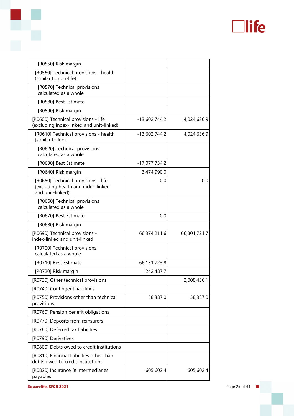

| [R0550] Risk margin                                                                           |                 |              |
|-----------------------------------------------------------------------------------------------|-----------------|--------------|
| [R0560] Technical provisions - health<br>(similar to non-life)                                |                 |              |
| [R0570] Technical provisions<br>calculated as a whole                                         |                 |              |
| [R0580] Best Estimate                                                                         |                 |              |
| [R0590] Risk margin                                                                           |                 |              |
| [R0600] Technical provisions - life<br>(excluding index-linked and unit-linked)               | $-13,602,744.2$ | 4,024,636.9  |
| [R0610] Technical provisions - health<br>(similar to life)                                    | $-13,602,744.2$ | 4,024,636.9  |
| [R0620] Technical provisions<br>calculated as a whole                                         |                 |              |
| [R0630] Best Estimate                                                                         | $-17,077,734.2$ |              |
| [R0640] Risk margin                                                                           | 3,474,990.0     |              |
| [R0650] Technical provisions - life<br>(excluding health and index-linked<br>and unit-linked) | 0.0             | 0.0          |
| [R0660] Technical provisions<br>calculated as a whole                                         |                 |              |
| [R0670] Best Estimate                                                                         | 0.0             |              |
| [R0680] Risk margin                                                                           |                 |              |
| [R0690] Technical provisions -<br>index-linked and unit-linked                                | 66,374,211.6    | 66,801,721.7 |
| [R0700] Technical provisions<br>calculated as a whole                                         |                 |              |
| [R0710] Best Estimate                                                                         | 66, 131, 723.8  |              |
| [R0720] Risk margin                                                                           | 242,487.7       |              |
| [R0730] Other technical provisions                                                            |                 | 2,008,436.1  |
| [R0740] Contingent liabilities                                                                |                 |              |
| [R0750] Provisions other than technical<br>provisions                                         | 58,387.0        | 58,387.0     |
| [R0760] Pension benefit obligations                                                           |                 |              |
| [R0770] Deposits from reinsurers                                                              |                 |              |
| [R0780] Deferred tax liabilities                                                              |                 |              |
| [R0790] Derivatives                                                                           |                 |              |
| [R0800] Debts owed to credit institutions                                                     |                 |              |
| [R0810] Financial liabilities other than<br>debts owed to credit institutions                 |                 |              |
| [R0820] Insurance & intermediaries<br>payables                                                | 605,602.4       | 605,602.4    |

S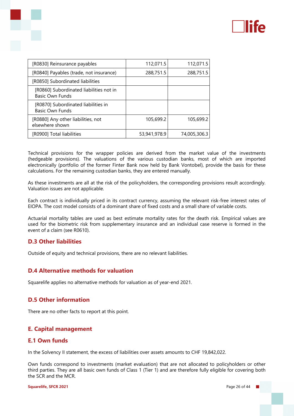

| [R0830] Reinsurance payables                                      | 112,071.5    | 112,071.5    |
|-------------------------------------------------------------------|--------------|--------------|
| [R0840] Payables (trade, not insurance)                           | 288,751.5    | 288,751.5    |
| [R0850] Subordinated liabilities                                  |              |              |
| [R0860] Subordinated liabilities not in<br><b>Basic Own Funds</b> |              |              |
| [R0870] Subordinated liabilities in<br><b>Basic Own Funds</b>     |              |              |
| [R0880] Any other liabilities, not<br>elsewhere shown             | 105,699.2    | 105,699.2    |
| [R0900] Total liabilities                                         | 53,941,978.9 | 74,005,306.3 |

Technical provisions for the wrapper policies are derived from the market value of the investments (hedgeable provisions). The valuations of the various custodian banks, most of which are imported electronically (portfolio of the former Finter Bank now held by Bank Vontobel), provide the basis for these calculations. For the remaining custodian banks, they are entered manually.

As these investments are all at the risk of the policyholders, the corresponding provisions result accordingly. Valuation issues are not applicable.

Each contract is individually priced in its contract currency, assuming the relevant risk-free interest rates of EIOPA. The cost model consists of a dominant share of fixed costs and a small share of variable costs.

Actuarial mortality tables are used as best estimate mortality rates for the death risk. Empirical values are used for the biometric risk from supplementary insurance and an individual case reserve is formed in the event of a claim (see R0610).

#### **D.3 Other liabilities**

Outside of equity and technical provisions, there are no relevant liabilities.

#### **D.4 Alternative methods for valuation**

Squarelife applies no alternative methods for valuation as of year-end 2021.

#### **D.5 Other information**

There are no other facts to report at this point.

#### **E. Capital management**

#### **E.1 Own funds**

In the Solvency II statement, the excess of liabilities over assets amounts to CHF 19,842,022.

Own funds correspond to investments (market evaluation) that are not allocated to policyholders or other third parties. They are all basic own funds of Class 1 (Tier 1) and are therefore fully eligible for covering both the SCR and the MCR.

**Squarelife, SFCR 2021** Page 26 of 44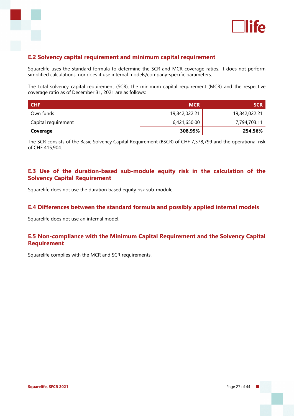

### **E.2 Solvency capital requirement and minimum capital requirement**

Squarelife uses the standard formula to determine the SCR and MCR coverage ratios. It does not perform simplified calculations, nor does it use internal models/company-specific parameters.

The total solvency capital requirement (SCR), the minimum capital requirement (MCR) and the respective coverage ratio as of December 31, 2021 are as follows:

| <b>CHF</b>          | <b>MCR</b>    | <b>SCR</b>    |
|---------------------|---------------|---------------|
| Own funds           | 19,842,022.21 | 19,842,022.21 |
| Capital requirement | 6,421,650.00  | 7,794,703.11  |
| Coverage            | 308.99%       | 254.56%       |

The SCR consists of the Basic Solvency Capital Requirement (BSCR) of CHF 7,378,799 and the operational risk of CHF 415,904.

#### **E.3 Use of the duration-based sub-module equity risk in the calculation of the Solvency Capital Requirement**

Squarelife does not use the duration based equity risk sub-module.

#### **E.4 Differences between the standard formula and possibly applied internal models**

Squarelife does not use an internal model.

#### **E.5 Non-compliance with the Minimum Capital Requirement and the Solvency Capital Requirement**

Squarelife complies with the MCR and SCR requirements.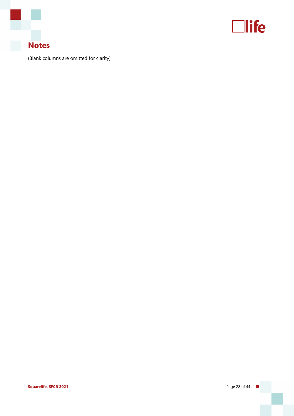



(Blank columns are omitted for clarity)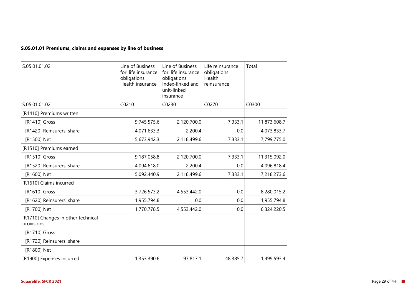#### **S.05.01.01 Premiums, claims and expenses by line of business**

| S.05.01.01.02                                    | Line of Business<br>for: life insurance<br>obligations<br>Health insurance | Line of Business<br>for: life insurance<br>obligations<br>Index-linked and<br>unit-linked<br>insurance | Life reinsurance<br>obligations<br>Health<br>reinsurance | Total        |
|--------------------------------------------------|----------------------------------------------------------------------------|--------------------------------------------------------------------------------------------------------|----------------------------------------------------------|--------------|
| S.05.01.01.02                                    | C0210                                                                      | C0230                                                                                                  | C0270                                                    | C0300        |
| [R1410] Premiums written                         |                                                                            |                                                                                                        |                                                          |              |
| [R1410] Gross                                    | 9,745,575.6                                                                | 2,120,700.0                                                                                            | 7,333.1                                                  | 11,873,608.7 |
| [R1420] Reinsurers' share                        | 4,071,633.3                                                                | 2,200.4                                                                                                | 0.0                                                      | 4,073,833.7  |
| [R1500] Net                                      | 5,673,942.3                                                                | 2,118,499.6                                                                                            | 7,333.1                                                  | 7,799,775.0  |
| [R1510] Premiums earned                          |                                                                            |                                                                                                        |                                                          |              |
| [R1510] Gross                                    | 9,187,058.8                                                                | 2,120,700.0                                                                                            | 7,333.1                                                  | 11,315,092.0 |
| [R1520] Reinsurers' share                        | 4,094,618.0                                                                | 2,200.4                                                                                                | 0.0                                                      | 4,096,818.4  |
| [R1600] Net                                      | 5,092,440.9                                                                | 2,118,499.6                                                                                            | 7,333.1                                                  | 7,218,273.6  |
| [R1610] Claims incurred                          |                                                                            |                                                                                                        |                                                          |              |
| [R1610] Gross                                    | 3,726,573.2                                                                | 4,553,442.0                                                                                            | 0.0                                                      | 8,280,015.2  |
| [R1620] Reinsurers' share                        | 1,955,794.8                                                                | 0.0                                                                                                    | 0.0                                                      | 1,955,794.8  |
| [R1700] Net                                      | 1,770,778.5                                                                | 4,553,442.0                                                                                            | 0.0                                                      | 6,324,220.5  |
| [R1710] Changes in other technical<br>provisions |                                                                            |                                                                                                        |                                                          |              |
| [R1710] Gross                                    |                                                                            |                                                                                                        |                                                          |              |
| [R1720] Reinsurers' share                        |                                                                            |                                                                                                        |                                                          |              |
| [R1800] Net                                      |                                                                            |                                                                                                        |                                                          |              |
| [R1900] Expenses incurred                        | 1,353,390.6                                                                | 97,817.1                                                                                               | 48,385.7                                                 | 1,499,593.4  |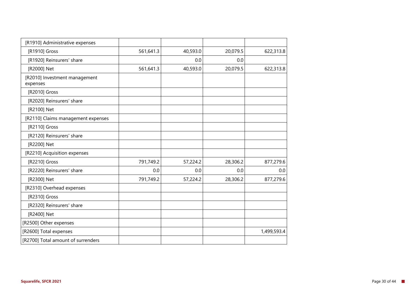| [R1910] Administrative expenses           |           |          |          |             |
|-------------------------------------------|-----------|----------|----------|-------------|
| [R1910] Gross                             | 561,641.3 | 40,593.0 | 20,079.5 | 622,313.8   |
| [R1920] Reinsurers' share                 |           | 0.0      | 0.0      |             |
| [R2000] Net                               | 561,641.3 | 40,593.0 | 20,079.5 | 622,313.8   |
| [R2010] Investment management<br>expenses |           |          |          |             |
| [R2010] Gross                             |           |          |          |             |
| [R2020] Reinsurers' share                 |           |          |          |             |
| [R2100] Net                               |           |          |          |             |
| [R2110] Claims management expenses        |           |          |          |             |
| [R2110] Gross                             |           |          |          |             |
| [R2120] Reinsurers' share                 |           |          |          |             |
| [R2200] Net                               |           |          |          |             |
| [R2210] Acquisition expenses              |           |          |          |             |
| [R2210] Gross                             | 791,749.2 | 57,224.2 | 28,306.2 | 877,279.6   |
| [R2220] Reinsurers' share                 | 0.0       | 0.0      | 0.0      | 0.0         |
| [R2300] Net                               | 791,749.2 | 57,224.2 | 28,306.2 | 877,279.6   |
| [R2310] Overhead expenses                 |           |          |          |             |
| [R2310] Gross                             |           |          |          |             |
| [R2320] Reinsurers' share                 |           |          |          |             |
| [R2400] Net                               |           |          |          |             |
| [R2500] Other expenses                    |           |          |          |             |
| [R2600] Total expenses                    |           |          |          | 1,499,593.4 |
| [R2700] Total amount of surrenders        |           |          |          |             |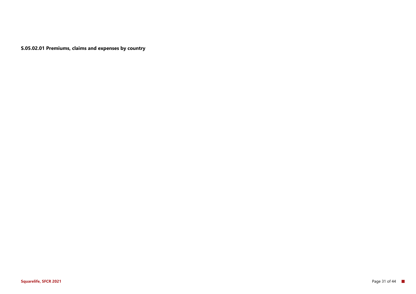**S.05.02.01 Premiums, claims and expenses by country**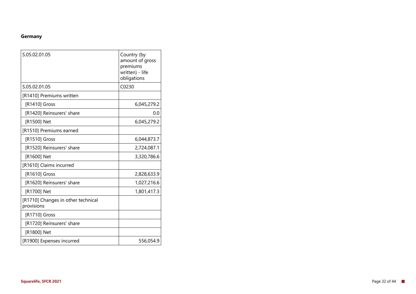#### **Germany**

| S.05.02.01.05                                    | Country (by<br>amount of gross<br>premiums<br>written) - life<br>obligations |
|--------------------------------------------------|------------------------------------------------------------------------------|
| S.05.02.01.05                                    | C0230                                                                        |
| [R1410] Premiums written                         |                                                                              |
| [R1410] Gross                                    | 6,045,279.2                                                                  |
| [R1420] Reinsurers' share                        | 0.0                                                                          |
| [R1500] Net                                      | 6,045,279.2                                                                  |
| [R1510] Premiums earned                          |                                                                              |
| [R1510] Gross                                    | 6,044,873.7                                                                  |
| [R1520] Reinsurers' share                        | 2,724,087.1                                                                  |
| [R1600] Net                                      | 3,320,786.6                                                                  |
| [R1610] Claims incurred                          |                                                                              |
| [R1610] Gross                                    | 2,828,633.9                                                                  |
| [R1620] Reinsurers' share                        | 1,027,216.6                                                                  |
| [R1700] Net                                      | 1,801,417.3                                                                  |
| [R1710] Changes in other technical<br>provisions |                                                                              |
| [R1710] Gross                                    |                                                                              |
| [R1720] Reinsurers' share                        |                                                                              |
| [R1800] Net                                      |                                                                              |
| [R1900] Expenses incurred                        | 556,054.9                                                                    |
|                                                  |                                                                              |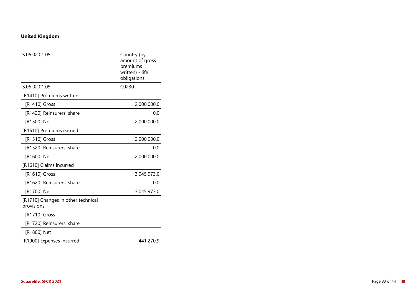#### **United Kingdom**

| S.05.02.01.05                                    | Country (by<br>amount of gross<br>premiums<br>written) - life<br>obligations |
|--------------------------------------------------|------------------------------------------------------------------------------|
| S.05.02.01.05                                    | C0230                                                                        |
| [R1410] Premiums written                         |                                                                              |
| [R1410] Gross                                    | 2,000,000.0                                                                  |
| [R1420] Reinsurers' share                        | 0.0                                                                          |
| [R1500] Net                                      | 2,000,000.0                                                                  |
| [R1510] Premiums earned                          |                                                                              |
| [R1510] Gross                                    | 2,000,000.0                                                                  |
| [R1520] Reinsurers' share                        | 0.0                                                                          |
| [R1600] Net                                      | 2,000,000.0                                                                  |
| [R1610] Claims incurred                          |                                                                              |
| [R1610] Gross                                    | 3,045,973.0                                                                  |
| [R1620] Reinsurers' share                        | 0.0                                                                          |
| [R1700] Net                                      | 3,045,973.0                                                                  |
| [R1710] Changes in other technical<br>provisions |                                                                              |
| [R1710] Gross                                    |                                                                              |
| [R1720] Reinsurers' share                        |                                                                              |
| [R1800] Net                                      |                                                                              |
| [R1900] Expenses incurred                        | 441,270.9                                                                    |
|                                                  |                                                                              |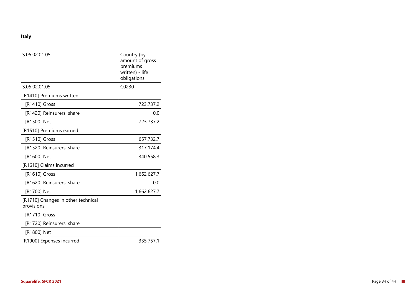#### **Italy**

| S.05.02.01.05                                    | Country (by<br>amount of gross<br>premiums<br>written) - life |
|--------------------------------------------------|---------------------------------------------------------------|
|                                                  | obligations                                                   |
| S.05.02.01.05                                    | C0230                                                         |
| [R1410] Premiums written                         |                                                               |
| [R1410] Gross                                    | 723,737.2                                                     |
| [R1420] Reinsurers' share                        | 0.0                                                           |
| [R1500] Net                                      | 723,737.2                                                     |
| [R1510] Premiums earned                          |                                                               |
| [R1510] Gross                                    | 657,732.7                                                     |
| [R1520] Reinsurers' share                        | 317,174.4                                                     |
| [R1600] Net                                      | 340,558.3                                                     |
| [R1610] Claims incurred                          |                                                               |
| [R1610] Gross                                    | 1,662,627.7                                                   |
| [R1620] Reinsurers' share                        | 0.0                                                           |
| [R1700] Net                                      | 1,662,627.7                                                   |
| [R1710] Changes in other technical<br>provisions |                                                               |
| [R1710] Gross                                    |                                                               |
| [R1720] Reinsurers' share                        |                                                               |
| [R1800] Net                                      |                                                               |
| [R1900] Expenses incurred                        | 335,757.1                                                     |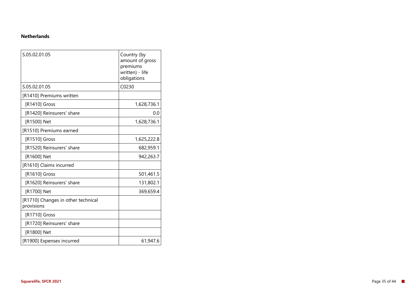#### **Netherlands**

| S.05.02.01.05                                    | Country (by<br>amount of gross<br>premiums<br>written) - life<br>obligations |
|--------------------------------------------------|------------------------------------------------------------------------------|
| S.05.02.01.05                                    | C0230                                                                        |
| [R1410] Premiums written                         |                                                                              |
| [R1410] Gross                                    | 1,628,736.1                                                                  |
| [R1420] Reinsurers' share                        | 0.0                                                                          |
| [R1500] Net                                      | 1,628,736.1                                                                  |
| [R1510] Premiums earned                          |                                                                              |
| [R1510] Gross                                    | 1,625,222.8                                                                  |
| [R1520] Reinsurers' share                        | 682,959.1                                                                    |
| [R1600] Net                                      | 942,263.7                                                                    |
| [R1610] Claims incurred                          |                                                                              |
| [R1610] Gross                                    | 501,461.5                                                                    |
| [R1620] Reinsurers' share                        | 131,802.1                                                                    |
| [R1700] Net                                      | 369,659.4                                                                    |
| [R1710] Changes in other technical<br>provisions |                                                                              |
| [R1710] Gross                                    |                                                                              |
| [R1720] Reinsurers' share                        |                                                                              |
| [R1800] Net                                      |                                                                              |
| [R1900] Expenses incurred                        | 61,947.6                                                                     |
|                                                  |                                                                              |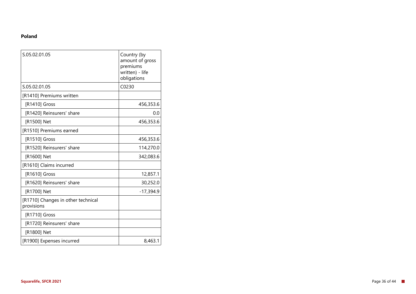#### **Poland**

| S.05.02.01.05                                    | Country (by<br>amount of gross<br>premiums<br>written) - life<br>obligations |
|--------------------------------------------------|------------------------------------------------------------------------------|
| S.05.02.01.05                                    | C0230                                                                        |
| [R1410] Premiums written                         |                                                                              |
| [R1410] Gross                                    | 456,353.6                                                                    |
| [R1420] Reinsurers' share                        | 0.0                                                                          |
| [R1500] Net                                      | 456,353.6                                                                    |
| [R1510] Premiums earned                          |                                                                              |
| [R1510] Gross                                    | 456,353.6                                                                    |
| [R1520] Reinsurers' share                        | 114,270.0                                                                    |
| [R1600] Net                                      | 342,083.6                                                                    |
| [R1610] Claims incurred                          |                                                                              |
| [R1610] Gross                                    | 12,857.1                                                                     |
| [R1620] Reinsurers' share                        | 30,252.0                                                                     |
| [R1700] Net                                      | $-17,394.9$                                                                  |
| [R1710] Changes in other technical<br>provisions |                                                                              |
| [R1710] Gross                                    |                                                                              |
| [R1720] Reinsurers' share                        |                                                                              |
| [R1800] Net                                      |                                                                              |
| [R1900] Expenses incurred                        | 8,463.1                                                                      |
|                                                  |                                                                              |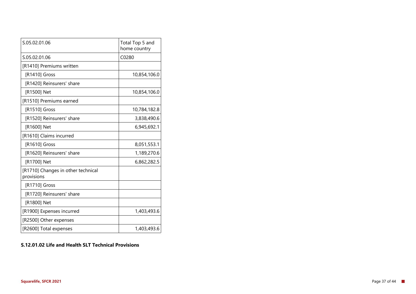| S.05.02.01.06                                    | Total Top 5 and<br>home country |
|--------------------------------------------------|---------------------------------|
| S.05.02.01.06                                    | C0280                           |
| [R1410] Premiums written                         |                                 |
| [R1410] Gross                                    | 10,854,106.0                    |
| [R1420] Reinsurers' share                        |                                 |
| [R1500] Net                                      | 10,854,106.0                    |
| [R1510] Premiums earned                          |                                 |
| [R1510] Gross                                    | 10,784,182.8                    |
| [R1520] Reinsurers' share                        | 3,838,490.6                     |
| [R1600] Net                                      | 6,945,692.1                     |
| [R1610] Claims incurred                          |                                 |
| [R1610] Gross                                    | 8,051,553.1                     |
| [R1620] Reinsurers' share                        | 1,189,270.6                     |
| [R1700] Net                                      | 6,862,282.5                     |
| [R1710] Changes in other technical<br>provisions |                                 |
| [R1710] Gross                                    |                                 |
| [R1720] Reinsurers' share                        |                                 |
| [R1800] Net                                      |                                 |
| [R1900] Expenses incurred                        | 1,403,493.6                     |
| [R2500] Other expenses                           |                                 |
| [R2600] Total expenses                           | 1,403,493.6                     |

#### **S.12.01.02 Life and Health SLT Technical Provisions**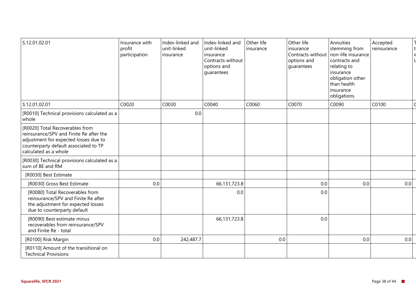| S.12.01.02.01                                                                                                                                                                         | Insurance with<br>profit<br>participation | Index-linked and<br>unit-linked<br>insurance | Index-linked and<br>unit-linked<br>insurance<br>Contracts without<br>options and<br>guarantees | Other life<br>insurance | Other life<br>insurance<br>options and<br>guarantees | Annuities<br>stemming from<br>Contracts without   non-life insurance  <br>contracts and<br>relating to<br>insurance<br>obligation other<br>than health<br>insurance<br>obligations | Accepted<br>reinsurance |     |
|---------------------------------------------------------------------------------------------------------------------------------------------------------------------------------------|-------------------------------------------|----------------------------------------------|------------------------------------------------------------------------------------------------|-------------------------|------------------------------------------------------|------------------------------------------------------------------------------------------------------------------------------------------------------------------------------------|-------------------------|-----|
| S.12.01.02.01                                                                                                                                                                         | C0020                                     | C0030                                        | C0040                                                                                          | C0060                   | C0070                                                | C0090                                                                                                                                                                              | C0100                   |     |
| [R0010] Technical provisions calculated as a<br>whole                                                                                                                                 |                                           | 0.0                                          |                                                                                                |                         |                                                      |                                                                                                                                                                                    |                         |     |
| [R0020] Total Recoverables from<br>reinsurance/SPV and Finite Re after the<br>adjustment for expected losses due to<br>counterparty default associated to TP<br>calculated as a whole |                                           |                                              |                                                                                                |                         |                                                      |                                                                                                                                                                                    |                         |     |
| [R0030] Technical provisions calculated as a<br>sum of BE and RM                                                                                                                      |                                           |                                              |                                                                                                |                         |                                                      |                                                                                                                                                                                    |                         |     |
| [R0030] Best Estimate                                                                                                                                                                 |                                           |                                              |                                                                                                |                         |                                                      |                                                                                                                                                                                    |                         |     |
| [R0030] Gross Best Estimate                                                                                                                                                           | 0.0                                       |                                              | 66,131,723.8                                                                                   |                         | 0.0                                                  | 0.0                                                                                                                                                                                |                         | 0.0 |
| [R0080] Total Recoverables from<br>reinsurance/SPV and Finite Re after<br>the adjustment for expected losses<br>due to counterparty default                                           |                                           |                                              | 0.0                                                                                            |                         | 0.0                                                  |                                                                                                                                                                                    |                         |     |
| [R0090] Best estimate minus<br>recoverables from reinsurance/SPV<br>and Finite Re - total                                                                                             |                                           |                                              | 66,131,723.8                                                                                   |                         | 0.0                                                  |                                                                                                                                                                                    |                         |     |
| [R0100] Risk Margin                                                                                                                                                                   | 0.0                                       | 242,487.7                                    |                                                                                                | 0.0                     |                                                      | 0.0                                                                                                                                                                                |                         | 0.0 |
| [R0110] Amount of the transitional on<br><b>Technical Provisions</b>                                                                                                                  |                                           |                                              |                                                                                                |                         |                                                      |                                                                                                                                                                                    |                         |     |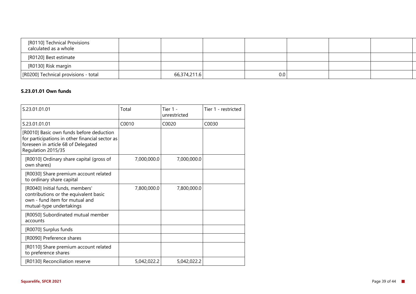| [R0110] Technical Provisions<br>calculated as a whole |              |     |  |
|-------------------------------------------------------|--------------|-----|--|
| [R0120] Best estimate                                 |              |     |  |
| [R0130] Risk margin                                   |              |     |  |
| [R0200] Technical provisions - total                  | 66,374,211.6 | 0.0 |  |

#### **S.23.01.01 Own funds**

| S.23.01.01.01                                                                                                                                            | Total       | Tier 1 -<br>unrestricted | Tier 1 - restricted |
|----------------------------------------------------------------------------------------------------------------------------------------------------------|-------------|--------------------------|---------------------|
| S.23.01.01.01                                                                                                                                            | C0010       | C0020                    | C0030               |
| [R0010] Basic own funds before deduction<br>for participations in other financial sector as<br>foreseen in article 68 of Delegated<br>Regulation 2015/35 |             |                          |                     |
| [R0010] Ordinary share capital (gross of<br>own shares)                                                                                                  | 7,000,000.0 | 7,000,000.0              |                     |
| [R0030] Share premium account related<br>to ordinary share capital                                                                                       |             |                          |                     |
| [R0040] Initial funds, members'<br>contributions or the equivalent basic<br>own - fund item for mutual and<br>mutual-type undertakings                   | 7,800,000.0 | 7,800,000.0              |                     |
| [R0050] Subordinated mutual member<br>accounts                                                                                                           |             |                          |                     |
| [R0070] Surplus funds                                                                                                                                    |             |                          |                     |
| [R0090] Preference shares                                                                                                                                |             |                          |                     |
| [R0110] Share premium account related<br>to preference shares                                                                                            |             |                          |                     |
| [R0130] Reconciliation reserve                                                                                                                           | 5,042,022.2 | 5,042,022.2              |                     |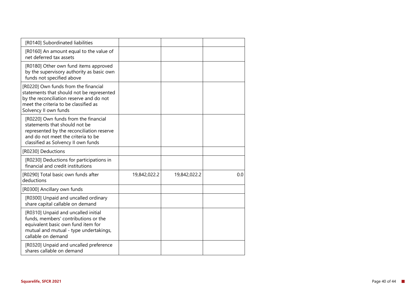| [R0140] Subordinated liabilities                                                                                                                                                                |              |              |     |
|-------------------------------------------------------------------------------------------------------------------------------------------------------------------------------------------------|--------------|--------------|-----|
| [R0160] An amount equal to the value of<br>net deferred tax assets                                                                                                                              |              |              |     |
| [R0180] Other own fund items approved<br>by the supervisory authority as basic own<br>funds not specified above                                                                                 |              |              |     |
| [R0220] Own funds from the financial<br>statements that should not be represented<br>by the reconciliation reserve and do not<br>meet the criteria to be classified as<br>Solvency II own funds |              |              |     |
| [R0220] Own funds from the financial<br>statements that should not be<br>represented by the reconciliation reserve<br>and do not meet the criteria to be<br>classified as Solvency II own funds |              |              |     |
| [R0230] Deductions                                                                                                                                                                              |              |              |     |
| [R0230] Deductions for participations in<br>financial and credit institutions                                                                                                                   |              |              |     |
| [R0290] Total basic own funds after<br>deductions                                                                                                                                               | 19,842,022.2 | 19,842,022.2 | 0.0 |
| [R0300] Ancillary own funds                                                                                                                                                                     |              |              |     |
| [R0300] Unpaid and uncalled ordinary<br>share capital callable on demand                                                                                                                        |              |              |     |
| [R0310] Unpaid and uncalled initial<br>funds, members' contributions or the<br>equivalent basic own fund item for<br>mutual and mutual - type undertakings,<br>callable on demand               |              |              |     |
| [R0320] Unpaid and uncalled preference<br>shares callable on demand                                                                                                                             |              |              |     |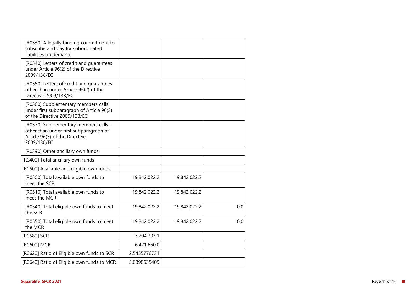| [R0330] A legally binding commitment to<br>subscribe and pay for subordinated<br>liabilities on demand                           |              |              |     |
|----------------------------------------------------------------------------------------------------------------------------------|--------------|--------------|-----|
| [R0340] Letters of credit and guarantees<br>under Article 96(2) of the Directive<br>2009/138/EC                                  |              |              |     |
| [R0350] Letters of credit and guarantees<br>other than under Article 96(2) of the<br>Directive 2009/138/EC                       |              |              |     |
| [R0360] Supplementary members calls<br>under first subparagraph of Article 96(3)<br>of the Directive 2009/138/EC                 |              |              |     |
| [R0370] Supplementary members calls -<br>other than under first subparagraph of<br>Article 96(3) of the Directive<br>2009/138/EC |              |              |     |
| [R0390] Other ancillary own funds                                                                                                |              |              |     |
| [R0400] Total ancillary own funds                                                                                                |              |              |     |
| [R0500] Available and eligible own funds                                                                                         |              |              |     |
| [R0500] Total available own funds to<br>meet the SCR                                                                             | 19,842,022.2 | 19,842,022.2 |     |
| [R0510] Total available own funds to<br>meet the MCR                                                                             | 19,842,022.2 | 19,842,022.2 |     |
| [R0540] Total eligible own funds to meet<br>the SCR                                                                              | 19,842,022.2 | 19,842,022.2 | 0.0 |
| [R0550] Total eligible own funds to meet<br>the MCR                                                                              | 19,842,022.2 | 19,842,022.2 | 0.0 |
| [R0580] SCR                                                                                                                      | 7,794,703.1  |              |     |
| [R0600] MCR                                                                                                                      | 6,421,650.0  |              |     |
| [R0620] Ratio of Eligible own funds to SCR                                                                                       | 2.5455776731 |              |     |
| [R0640] Ratio of Eligible own funds to MCR                                                                                       | 3.0898635409 |              |     |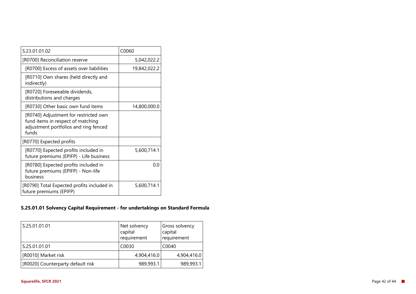| S.23.01.01.02                                                                                                                | C0060        |
|------------------------------------------------------------------------------------------------------------------------------|--------------|
| [R0700] Reconciliation reserve                                                                                               | 5,042,022.2  |
| [R0700] Excess of assets over liabilities                                                                                    | 19,842,022.2 |
| [R0710] Own shares (held directly and<br>indirectly)                                                                         |              |
| [R0720] Foreseeable dividends,<br>distributions and charges                                                                  |              |
| [R0730] Other basic own fund items                                                                                           | 14,800,000.0 |
| [R0740] Adjustment for restricted own<br>fund items in respect of matching<br>adjustment portfolios and ring fenced<br>funds |              |
| [R0770] Expected profits                                                                                                     |              |
| [R0770] Expected profits included in<br>future premiums (EPIFP) - Life business                                              | 5,600,714.1  |
| [R0780] Expected profits included in<br>future premiums (EPIFP) - Non-life<br>business                                       | 0.0          |
| [R0790] Total Expected profits included in<br>future premiums (EPIFP)                                                        | 5,600,714.1  |

#### **S.25.01.01 Solvency Capital Requirement - for undertakings on Standard Formula**

| S.25.01.01.01                     | Net solvency<br>capital<br>requirement | Gross solvency<br>capital<br>requirement |
|-----------------------------------|----------------------------------------|------------------------------------------|
| S.25.01.01.01                     | C0030                                  | C0040                                    |
| [R0010] Market risk               | 4,904,416.0                            | 4,904,416.0                              |
| [R0020] Counterparty default risk | 989,993.1                              | 989,993.1                                |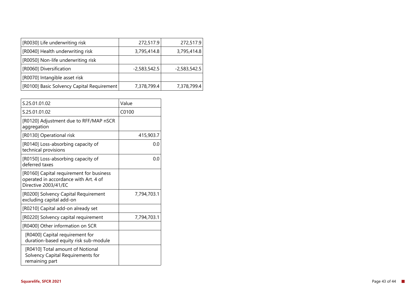| [R0030] Life underwriting risk             | 272,517.9      | 272,517.9      |
|--------------------------------------------|----------------|----------------|
| [R0040] Health underwriting risk           | 3,795,414.8    | 3,795,414.8    |
| [R0050] Non-life underwriting risk         |                |                |
| [R0060] Diversification                    | $-2,583,542.5$ | $-2,583,542.5$ |
| [R0070] Intangible asset risk              |                |                |
| [R0100] Basic Solvency Capital Requirement | 7,378,799.4    | 7,378,799.4    |

| S.25.01.01.02                                                                                             | Value       |
|-----------------------------------------------------------------------------------------------------------|-------------|
| S.25.01.01.02                                                                                             | C0100       |
| [R0120] Adjustment due to RFF/MAP nSCR<br>aggregation                                                     |             |
| [R0130] Operational risk                                                                                  | 415,903.7   |
| [R0140] Loss-absorbing capacity of<br>technical provisions                                                | 0.0         |
| [R0150] Loss-absorbing capacity of<br>deferred taxes                                                      | 0.0         |
| [R0160] Capital requirement for business<br>operated in accordance with Art. 4 of<br>Directive 2003/41/EC |             |
| [R0200] Solvency Capital Requirement<br>excluding capital add-on                                          | 7,794,703.1 |
| [R0210] Capital add-on already set                                                                        |             |
| [R0220] Solvency capital requirement                                                                      | 7,794,703.1 |
| [R0400] Other information on SCR                                                                          |             |
| [R0400] Capital requirement for<br>duration-based equity risk sub-module                                  |             |
| [R0410] Total amount of Notional<br>Solvency Capital Requirements for<br>remaining part                   |             |
|                                                                                                           |             |